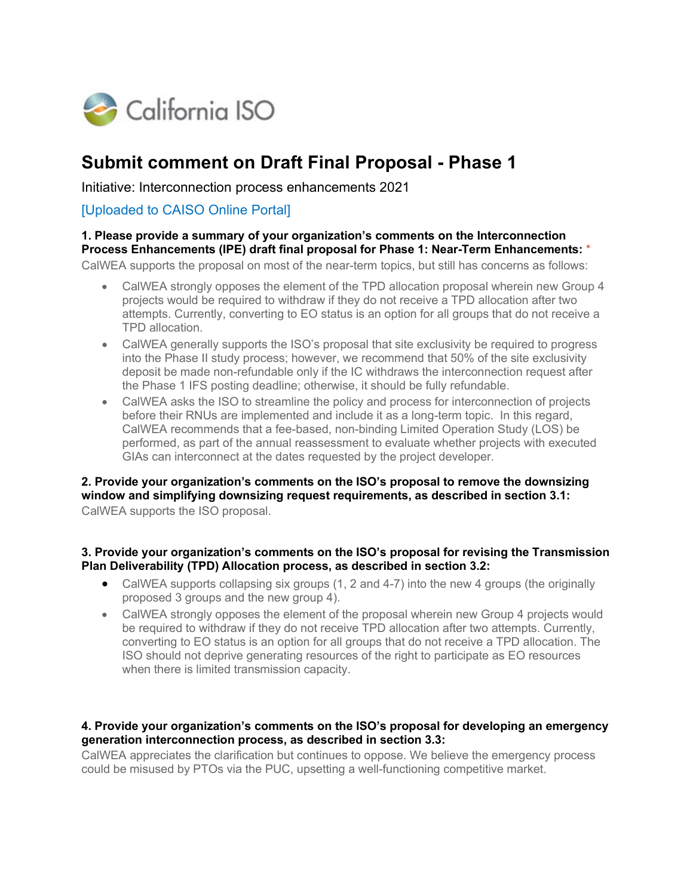

# **Submit comment on Draft Final Proposal - Phase 1**

Initiative: Interconnection process enhancements 2021

### [Uploaded to CAISO Online Portal]

#### **1. Please provide a summary of your organization's comments on the Interconnection Process Enhancements (IPE) draft final proposal for Phase 1: Near-Term Enhancements:** \*

CalWEA supports the proposal on most of the near-term topics, but still has concerns as follows:

- CalWEA strongly opposes the element of the TPD allocation proposal wherein new Group 4 projects would be required to withdraw if they do not receive a TPD allocation after two attempts. Currently, converting to EO status is an option for all groups that do not receive a TPD allocation.
- CalWEA generally supports the ISO's proposal that site exclusivity be required to progress into the Phase II study process; however, we recommend that 50% of the site exclusivity deposit be made non-refundable only if the IC withdraws the interconnection request after the Phase 1 IFS posting deadline; otherwise, it should be fully refundable.
- CalWEA asks the ISO to streamline the policy and process for interconnection of projects before their RNUs are implemented and include it as a long-term topic. In this regard, CalWEA recommends that a fee-based, non-binding Limited Operation Study (LOS) be performed, as part of the annual reassessment to evaluate whether projects with executed GIAs can interconnect at the dates requested by the project developer.

## **2. Provide your organization's comments on the ISO's proposal to remove the downsizing window and simplifying downsizing request requirements, as described in section 3.1:**

CalWEA supports the ISO proposal.

#### **3. Provide your organization's comments on the ISO's proposal for revising the Transmission Plan Deliverability (TPD) Allocation process, as described in section 3.2:**

- CalWEA supports collapsing six groups (1, 2 and 4-7) into the new 4 groups (the originally proposed 3 groups and the new group 4).
- CalWEA strongly opposes the element of the proposal wherein new Group 4 projects would be required to withdraw if they do not receive TPD allocation after two attempts. Currently, converting to EO status is an option for all groups that do not receive a TPD allocation. The ISO should not deprive generating resources of the right to participate as EO resources when there is limited transmission capacity.

#### **4. Provide your organization's comments on the ISO's proposal for developing an emergency generation interconnection process, as described in section 3.3:**

CalWEA appreciates the clarification but continues to oppose. We believe the emergency process could be misused by PTOs via the PUC, upsetting a well-functioning competitive market.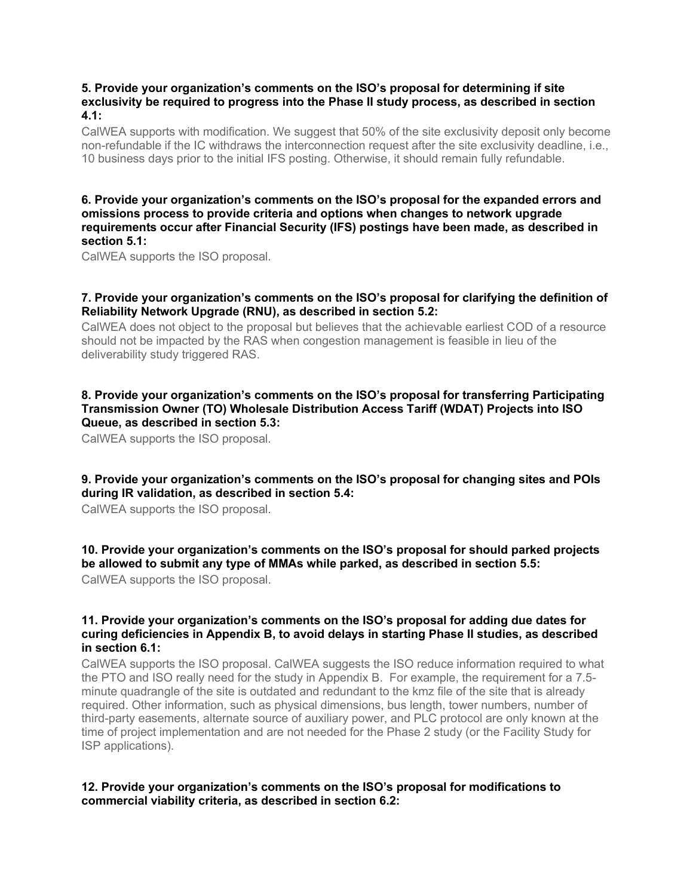#### **5. Provide your organization's comments on the ISO's proposal for determining if site exclusivity be required to progress into the Phase II study process, as described in section 4.1:**

CalWEA supports with modification. We suggest that 50% of the site exclusivity deposit only become non-refundable if the IC withdraws the interconnection request after the site exclusivity deadline, i.e., 10 business days prior to the initial IFS posting. Otherwise, it should remain fully refundable.

#### **6. Provide your organization's comments on the ISO's proposal for the expanded errors and omissions process to provide criteria and options when changes to network upgrade requirements occur after Financial Security (IFS) postings have been made, as described in section 5.1:**

CalWEA supports the ISO proposal.

#### **7. Provide your organization's comments on the ISO's proposal for clarifying the definition of Reliability Network Upgrade (RNU), as described in section 5.2:**

CalWEA does not object to the proposal but believes that the achievable earliest COD of a resource should not be impacted by the RAS when congestion management is feasible in lieu of the deliverability study triggered RAS.

#### **8. Provide your organization's comments on the ISO's proposal for transferring Participating Transmission Owner (TO) Wholesale Distribution Access Tariff (WDAT) Projects into ISO Queue, as described in section 5.3:**

CalWEA supports the ISO proposal.

#### **9. Provide your organization's comments on the ISO's proposal for changing sites and POIs during IR validation, as described in section 5.4:**

CalWEA supports the ISO proposal.

#### **10. Provide your organization's comments on the ISO's proposal for should parked projects be allowed to submit any type of MMAs while parked, as described in section 5.5:**

CalWEA supports the ISO proposal.

#### **11. Provide your organization's comments on the ISO's proposal for adding due dates for curing deficiencies in Appendix B, to avoid delays in starting Phase II studies, as described in section 6.1:**

CalWEA supports the ISO proposal. CalWEA suggests the ISO reduce information required to what the PTO and ISO really need for the study in Appendix B. For example, the requirement for a 7.5 minute quadrangle of the site is outdated and redundant to the kmz file of the site that is already required. Other information, such as physical dimensions, bus length, tower numbers, number of third-party easements, alternate source of auxiliary power, and PLC protocol are only known at the time of project implementation and are not needed for the Phase 2 study (or the Facility Study for ISP applications).

#### **12. Provide your organization's comments on the ISO's proposal for modifications to commercial viability criteria, as described in section 6.2:**